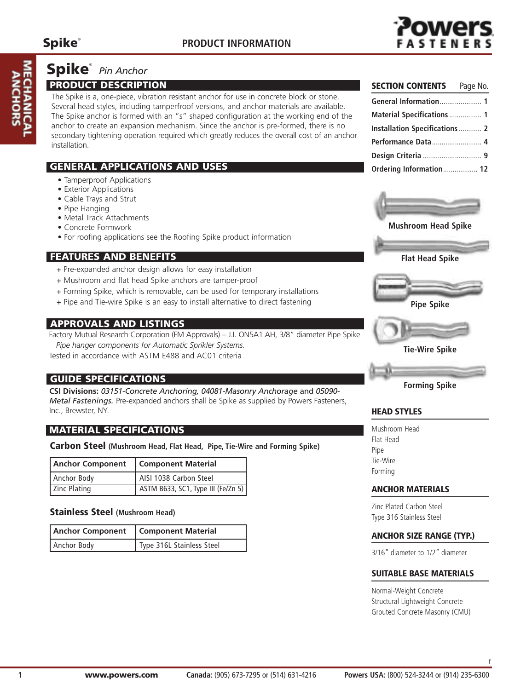

## **Spike**® *Pin Anchor*

#### **PRODUCT DESCRIPTION**

The Spike is a, one-piece, vibration resistant anchor for use in concrete block or stone. Several head styles, including tamperfroof versions, and anchor materials are available. The Spike anchor is formed with an "s" shaped configuration at the working end of the anchor to create an expansion mechanism. Since the anchor is pre-formed, there is no secondary tightening operation required which greatly reduces the overall cost of an anchor installation.

#### **GENERAL APPLICATIONS AND USES**

- Tamperproof Applications
- Exterior Applications
- Cable Trays and Strut
- Pipe Hanging
- Metal Track Attachments
- Concrete Formwork
- For roofing applications see the Roofing Spike product information

### **FEATURES AND BENEFITS**

- + Pre-expanded anchor design allows for easy installation
- + Mushroom and flat head Spike anchors are tamper-proof
- + Forming Spike, which is removable, can be used for temporary installations
- + Pipe and Tie-wire Spike is an easy to install alternative to direct fastening

#### **APPROVALS AND LISTINGS**

Factory Mutual Research Corporation (FM Approvals) – J.I. ON5A1.AH, 3/8" diameter Pipe Spike

*Pipe hanger components for Automatic Sprikler Systems.* Tested in accordance with ASTM E488 and AC01 criteria

#### **GUIDE SPECIFICATIONS**

**CSI Divisions:** *03151-Concrete Anchoring, 04081-Masonry Anchorage* and *05090- Metal Fastenings.* Pre-expanded anchors shall be Spike as supplied by Powers Fasteners, Inc., Brewster, NY.

### **MATERIAL SPECIFICATIONS**

#### **Carbon Steel (Mushroom Head, Flat Head, Pipe, Tie-Wire and Forming Spike)**

| <b>Anchor Component</b> | <b>Component Material</b>          |
|-------------------------|------------------------------------|
| Anchor Body             | AISI 1038 Carbon Steel             |
| Zinc Plating            | ASTM B633, SC1, Type III (Fe/Zn 5) |

#### **Stainless Steel (Mushroom Head)**

| <b>Anchor Component</b> | <b>Component Material</b> |  |  |  |  |  |
|-------------------------|---------------------------|--|--|--|--|--|
| Anchor Body             | Type 316L Stainless Steel |  |  |  |  |  |

| <b>SECTION CONTENTS</b> Page No.      |  |
|---------------------------------------|--|
| General Information 1                 |  |
| <b>Material Specifications  1</b>     |  |
| <b>Installation Specifications  2</b> |  |
| Performance Data 4                    |  |
|                                       |  |
| Ordering Information 12               |  |



**Mushroom Head Spike**







**Forming Spike**

#### **HEAD STYLES**

Mushroom Head Flat Head Pipe Tie-Wire Forming

#### **ANCHOR MATERIALS**

Zinc Plated Carbon Steel Type 316 Stainless Steel

#### **ANCHOR SIZE RANGE (TYP.)**

3/16" diameter to 1/2" diameter

#### **SUITABLE BASE MATERIALS**

Normal-Weight Concrete Structural Lightweight Concrete Grouted Concrete Masonry (CMU)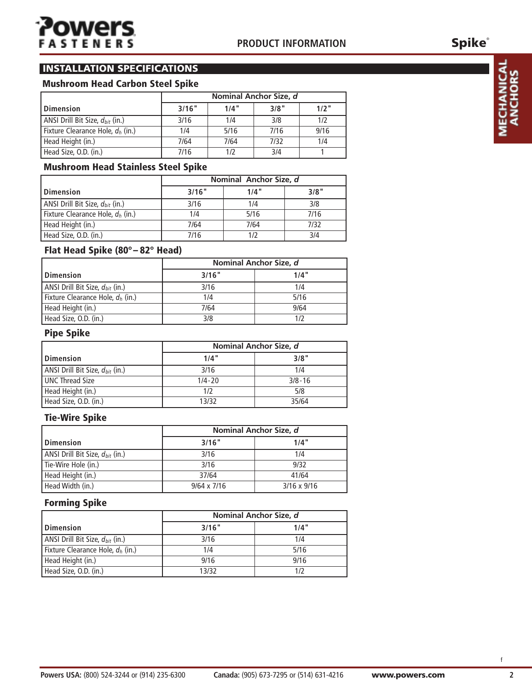## **INSTALLATION SPECIFICATIONS**

#### **Mushroom Head Carbon Steel Spike**

|                                      |       | Nominal Anchor Size, d |      |         |  |  |  |  |
|--------------------------------------|-------|------------------------|------|---------|--|--|--|--|
| l Dimension                          | 3/16" | 1/4"                   | 3/8" | $1/2$ " |  |  |  |  |
| ANSI Drill Bit Size, $d_{bit}$ (in.) | 3/16  | 1/4                    | 3/8  | 1/2     |  |  |  |  |
| Fixture Clearance Hole, $d_h$ (in.)  | 1/4   | 5/16                   | 7/16 | 9/16    |  |  |  |  |
| Head Height (in.)                    | 7/64  | 7/64                   | 7/32 | 1/4     |  |  |  |  |
| Head Size, O.D. (in.)                | 7/16  | 1/2                    | 3/4  |         |  |  |  |  |

#### **Mushroom Head Stainless Steel Spike**

|                                      |       | Nominal Anchor Size, d |      |
|--------------------------------------|-------|------------------------|------|
| l Dimension                          | 3/16" | 1/4"                   | 3/8" |
| ANSI Drill Bit Size, $d_{bit}$ (in.) | 3/16  | 1/4                    | 3/8  |
| Fixture Clearance Hole, $d_h$ (in.)  | 1/4   | 5/16                   | 7/16 |
| Head Height (in.)                    | 7/64  | 7/64                   | 7/32 |
| Head Size, O.D. (in.)                | 7/16  | 1/2                    | 3/4  |

### **Flat Head Spike (80°– 82° Head)**

|                                      |       | Nominal Anchor Size, d |
|--------------------------------------|-------|------------------------|
| l Dimension                          | 3/16" | 1/4"                   |
| ANSI Drill Bit Size, $d_{bit}$ (in.) | 3/16  | 1/4                    |
| Fixture Clearance Hole, $d_h$ (in.)  | 1/4   | 5/16                   |
| Head Height (in.)                    | 7/64  | 9/64                   |
| Head Size, O.D. (in.)                | 3/8   |                        |

#### **Pipe Spike**

|                                      | Nominal Anchor Size, d |            |  |  |  |
|--------------------------------------|------------------------|------------|--|--|--|
| <b>Dimension</b>                     | 1/4"                   | 3/8"       |  |  |  |
| ANSI Drill Bit Size, $d_{bit}$ (in.) | 3/16                   | 1/4        |  |  |  |
| <b>UNC Thread Size</b>               | $1/4 - 20$             | $3/8 - 16$ |  |  |  |
| Head Height (in.)                    | 1/2                    | 5/8        |  |  |  |
| Head Size, O.D. (in.)                | 13/32                  | 35/64      |  |  |  |

#### **Tie-Wire Spike**

|                                      |                    | Nominal Anchor Size, d |
|--------------------------------------|--------------------|------------------------|
| l Dimension                          | 3/16"              | 1/4"                   |
| ANSI Drill Bit Size, $d_{bit}$ (in.) | 3/16               | 1/4                    |
| Tie-Wire Hole (in.)                  | 3/16               | 9/32                   |
| Head Height (in.)                    | 37/64              | 41/64                  |
| Head Width (in.)                     | $9/64 \times 7/16$ | $3/16 \times 9/16$     |

#### **Forming Spike**

|                                      |       | Nominal Anchor Size, d |
|--------------------------------------|-------|------------------------|
| <b>Dimension</b>                     | 3/16" | 1/4"                   |
| ANSI Drill Bit Size, $d_{bit}$ (in.) | 3/16  | 1/4                    |
| Fixture Clearance Hole, $d_h$ (in.)  | 1/4   | 5/16                   |
| Head Height (in.)                    | 9/16  | 9/16                   |
| Head Size, O.D. (in.)                | 13/32 |                        |

**Spike**®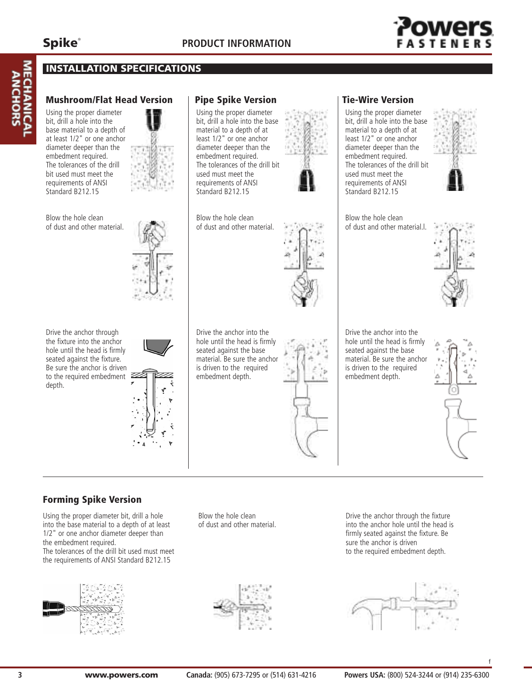## **STEN**

#### **INSTALLATION SPECIFICATIONS**

#### **Mushroom/Flat Head Version**

Using the proper diameter bit, drill a hole into the base material to a depth of at least 1/2" or one anchor diameter deeper than the embedment required. The tolerances of the drill bit used must meet the requirements of ANSI Standard B212.15



Blow the hole clean of dust and other material.



Drive the anchor through the fixture into the anchor hole until the head is firmly seated against the fixture. Be sure the anchor is driven to the required embedment depth.



#### **Pipe Spike Version**

Using the proper diameter bit, drill a hole into the base material to a depth of at least 1/2" or one anchor diameter deeper than the embedment required. The tolerances of the drill bit used must meet the requirements of ANSI Standard B<sub>212.15</sub>



Blow the hole clean of dust and other material.

Drive the anchor into the hole until the head is firmly seated against the base material. Be sure the anchor is driven to the required embedment depth.

#### **Tie-Wire Version** Using the proper diameter

bit, drill a hole into the base material to a depth of at least 1/2" or one anchor diameter deeper than the embedment required. The tolerances of the drill bit used must meet the requirements of ANSI Standard B212.15



Blow the hole clean of dust and other material.l.



Drive the anchor into the hole until the head is firmly seated against the base material. Be sure the anchor is driven to the required embedment depth.



**Forming Spike Version**

Using the proper diameter bit, drill a hole into the base material to a depth of at least 1/2" or one anchor diameter deeper than the embedment required. The tolerances of the drill bit used must meet the requirements of ANSI Standard B212.15



Blow the hole clean of dust and other material.

Drive the anchor through the fixture into the anchor hole until the head is firmly seated against the fixture. Be sure the anchor is driven to the required embedment depth.



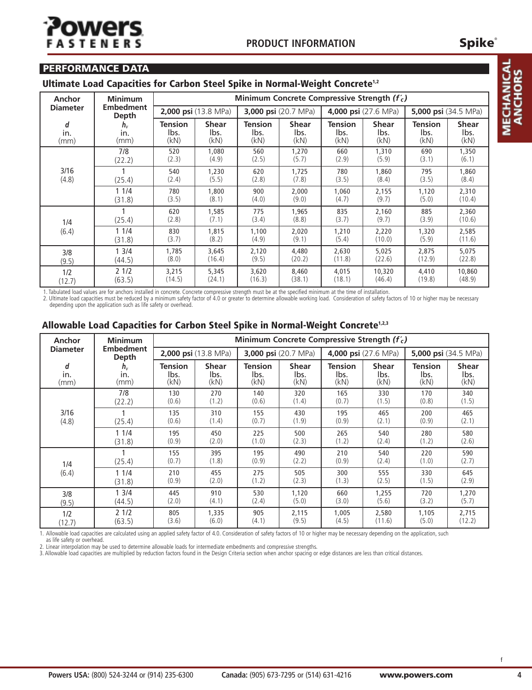MECHANICAL **ANCHORS** 

#### **PERFORMANCE DATA**

#### **Ultimate Load Capacities for Carbon Steel Spike in Normal-Weight Concrete1,2**

| Anchor          | <b>Minimum</b>            |                |                      |                | Minimum Concrete Compressive Strength $(f'_c)$ |                |                      |                |                      |  |
|-----------------|---------------------------|----------------|----------------------|----------------|------------------------------------------------|----------------|----------------------|----------------|----------------------|--|
| <b>Diameter</b> | <b>Embedment</b><br>Depth |                | 2,000 psi (13.8 MPa) |                | 3,000 psi (20.7 MPa)                           |                | 4,000 psi (27.6 MPa) |                | 5,000 psi (34.5 MPa) |  |
| d               | $h_{v}$                   | <b>Tension</b> | <b>Shear</b>         | <b>Tension</b> | <b>Shear</b>                                   | <b>Tension</b> | <b>Shear</b>         | <b>Tension</b> | <b>Shear</b>         |  |
| in.             | in.                       | lbs.           | lbs.                 | lbs.           | lbs.                                           | lbs.           | lbs.                 | lbs.           | lbs.                 |  |
| (mm)            | (mm)                      | (kN)           | (kN)                 | (kN)           | (kN)                                           | (kN)           | (kN)                 | (kN)           | (kN)                 |  |
|                 | 7/8                       | 520            | 1,080                | 560            | 1,270                                          | 660            | 1,310                | 690            | 1,350                |  |
|                 | (22.2)                    | (2.3)          | (4.9)                | (2.5)          | (5.7)                                          | (2.9)          | (5.9)                | (3.1)          | (6.1)                |  |
| 3/16            | (25.4)                    | 540            | 1,230                | 620            | 1,725                                          | 780            | 1,860                | 795            | 1,860                |  |
| (4.8)           |                           | (2.4)          | (5.5)                | (2.8)          | (7.8)                                          | (3.5)          | (8.4)                | (3.5)          | (8.4)                |  |
|                 | 11/4                      | 780            | 1,800                | 900            | 2,000                                          | 1,060          | 2,155                | 1,120          | 2,310                |  |
|                 | (31.8)                    | (3.5)          | (8.1)                | (4.0)          | (9.0)                                          | (4.7)          | (9.7)                | (5.0)          | (10.4)               |  |
| 1/4             | (25.4)                    | 620<br>(2.8)   | 1,585<br>(7.1)       | 775<br>(3.4)   | 1,965<br>(8.8)                                 | 835<br>(3.7)   | 2,160<br>(9.7)       | 885<br>(3.9)   | 2,360<br>(10.6)      |  |
| (6.4)           | 11/4                      | 830            | 1,815                | 1,100          | 2,020                                          | 1,210          | 2,220                | 1,320          | 2,585                |  |
|                 | (31.8)                    | (3.7)          | (8.2)                | (4.9)          | (9.1)                                          | (5.4)          | (10.0)               | (5.9)          | (11.6)               |  |
| 3/8             | 13/4                      | 1,785          | 3,645                | 2,120          | 4,480                                          | 2,630          | 5,025                | 2,875          | 5,075                |  |
| (9.5)           | (44.5)                    | (8.0)          | (16.4)               | (9.5)          | (20.2)                                         | (11.8)         | (22.6)               | (12.9)         | (22.8)               |  |
| 1/2             | 2 1/2                     | 3,215          | 5,345                | 3,620          | 8,460                                          | 4,015          | 10,320               | 4,410          | 10,860               |  |
| (12.7)          | (63.5)                    | (14.5)         | (24.1)               | (16.3)         | (38.1)                                         | (18.1)         | (46.4)               | (19.8)         | (48.9)               |  |

1. Tabulated load values are for anchors installed in concrete. Concrete compressive strength must be at the specified minimum at the time of installation.

2. Ultimate load capacities must be reduced by a minimum safety factor of 4.0 or greater to determine allowable working load. Consideration of safety factors of 10 or higher may be necessary depending upon the application such as life safety or overhead.

#### **Allowable Load Capacities for Carbon Steel Spike in Normal-Weight Concrete1,2,3**

| Anchor | <b>Minimum</b>                               |              |                      |                | Minimum Concrete Compressive Strength $(f'_c)$ |              |                      |              |                      |  |
|--------|----------------------------------------------|--------------|----------------------|----------------|------------------------------------------------|--------------|----------------------|--------------|----------------------|--|
|        | <b>Embedment</b><br><b>Diameter</b><br>Depth |              | 2,000 psi (13.8 MPa) |                | 3,000 psi (20.7 MPa)                           |              | 4,000 psi (27.6 MPa) |              | 5,000 psi (34.5 MPa) |  |
| d      | $h_{\nu}$                                    | Tension      | <b>Shear</b>         | <b>Tension</b> | <b>Shear</b>                                   | Tension      | <b>Shear</b>         | Tension      | <b>Shear</b>         |  |
| in.    | in.                                          | lbs.         | lbs.                 | lbs.           | lbs.                                           | lbs.         | lbs.                 | lbs.         | lbs.                 |  |
| (mm)   | (mm)                                         | (kN)         | (kN)                 | (kN)           | (kN)                                           | (kN)         | (kN)                 | (kN)         | (kN)                 |  |
|        | 7/8                                          | 130          | 270                  | 140            | 320                                            | 165          | 330                  | 170          | 340                  |  |
|        | (22.2)                                       | (0.6)        | (1.2)                | (0.6)          | (1.4)                                          | (0.7)        | (1.5)                | (0.8)        | (1.5)                |  |
| 3/16   | (25.4)                                       | 135          | 310                  | 155            | 430                                            | 195          | 465                  | 200          | 465                  |  |
| (4.8)  |                                              | (0.6)        | (1.4)                | (0.7)          | (1.9)                                          | (0.9)        | (2.1)                | (0.9)        | (2.1)                |  |
|        | 11/4                                         | 195          | 450                  | 225            | 500                                            | 265          | 540                  | 280          | 580                  |  |
|        | (31.8)                                       | (0.9)        | (2.0)                | (1.0)          | (2.3)                                          | (1.2)        | (2.4)                | (1.2)        | (2.6)                |  |
| 1/4    | (25.4)                                       | 155<br>(0.7) | 395<br>(1.8)         | 195<br>(0.9)   | 490<br>(2.2)                                   | 210<br>(0.9) | 540<br>(2.4)         | 220<br>(1.0) | 590<br>(2.7)         |  |
| (6.4)  | 11/4                                         | 210          | 455                  | 275            | 505                                            | 300          | 555                  | 330          | 645                  |  |
|        | (31.8)                                       | (0.9)        | (2.0)                | (1.2)          | (2.3)                                          | (1.3)        | (2.5)                | (1.5)        | (2.9)                |  |
| 3/8    | 13/4                                         | 445          | 910                  | 530            | 1,120                                          | 660          | 1,255                | 720          | 1,270                |  |
| (9.5)  | (44.5)                                       | (2.0)        | (4.1)                | (2.4)          | (5.0)                                          | (3.0)        | (5.6)                | (3.2)        | (5.7)                |  |
| 1/2    | 21/2                                         | 805          | 1,335                | 905            | 2,115                                          | 1,005        | 2,580                | 1,105        | 2,715                |  |
| (12.7) | (63.5)                                       | (3.6)        | (6.0)                | (4.1)          | (9.5)                                          | (4.5)        | (11.6)               | (5.0)        | (12.2)               |  |

1. Allowable load capacities are calculated using an applied safety factor of 4.0. Consideration of safety factors of 10 or higher may be necessary depending on the application, such as life safety or overhead.

2. Linear interpolation may be used to determine allowable loads for intermediate embedments and compressive strengths.

3. Allowable load capacities are multiplied by reduction factors found in the Design Criteria section when anchor spacing or edge distances are less than critical distances.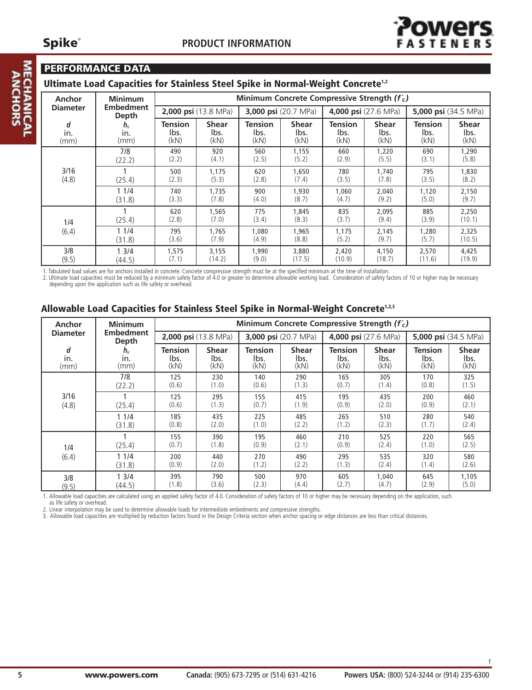# **MECHANI**<br>ANCHOI

#### **PERFORMANCE DATA**

#### **Ultimate Load Capacities for Stainless Steel Spike in Normal-Weight Concrete1,2**

| Anchor          | <b>Minimum</b>                   | Minimum Concrete Compressive Strength $(f'_c)$ |                             |              |                             |                |                      |              |                             |  |
|-----------------|----------------------------------|------------------------------------------------|-----------------------------|--------------|-----------------------------|----------------|----------------------|--------------|-----------------------------|--|
| <b>Diameter</b> | <b>Embedment</b><br><b>Depth</b> |                                                | <b>2,000 psi</b> (13.8 MPa) |              | <b>3,000 psi</b> (20.7 MPa) |                | 4,000 psi (27.6 MPa) |              | <b>5,000 psi</b> (34.5 MPa) |  |
| d               | $h_{\nu}$                        | <b>Tension</b>                                 | <b>Shear</b>                | Tension      | <b>Shear</b>                | <b>Tension</b> | <b>Shear</b>         | Tension      | <b>Shear</b>                |  |
| in.             | In.                              | lbs.                                           | lbs.                        | lbs.         | lbs.                        | lbs.           | lbs.                 | lbs.         | lbs.                        |  |
| (mm)            | (mm)                             | (kN)                                           | (kN)                        | (kN)         | (kN)                        | (kN)           | (kN)                 | (kN)         | (kN)                        |  |
|                 | 7/8                              | 490                                            | 920                         | 560          | 1,155                       | 660            | 1,220                | 690          | 1,290                       |  |
|                 | (22.2)                           | (2.2)                                          | (4.1)                       | (2.5)        | (5.2)                       | (2.9)          | (5.5)                | (3.1)        | (5.8)                       |  |
| 3/16            | (25.4)                           | 500                                            | 1.175                       | 620          | 1,650                       | 780            | 1.740                | 795          | 1,830                       |  |
| (4.8)           |                                  | (2.3)                                          | (5.3)                       | (2.8)        | (7.4)                       | (3.5)          | (7.8)                | (3.5)        | (8.2)                       |  |
|                 | 11/4                             | 740                                            | 1,735                       | 900          | 1,930                       | 1,060          | 2,040                | 1,120        | 2,150                       |  |
|                 | (31.8)                           | (3.3)                                          | (7.8)                       | (4.0)        | (8.7)                       | (4.7)          | (9.2)                | (5.0)        | (9.7)                       |  |
| 1/4             | (25.4)                           | 620<br>(2.8)                                   | 1,565<br>(7.0)              | 775<br>(3.4) | 1,845<br>(8.3)              | 835<br>(3.7)   | 2,095<br>(9.4)       | 885<br>(3.9) | 2,250<br>(10.1)             |  |
| (6.4)           | 11/4                             | 795                                            | 1.765                       | 1,080        | 1,965                       | 1.175          | 2,145                | 1,280        | 2,325                       |  |
|                 | (31.8)                           | (3.6)                                          | (7.9)                       | (4.9)        | (8.8)                       | (5.2)          | (9.7)                | (5.7)        | (10.5)                      |  |
| 3/8             | 3/4                              | 1,575                                          | 3,155                       | 1,990        | 3,880                       | 2,420          | 4,150                | 2,570        | 4,425                       |  |
| (9.5)           | (44.5)                           | (7.1)                                          | (14.2)                      | (9.0)        | (17.5)                      | (10.9)         | (18.7)               | (11.6)       | (19.9)                      |  |

1. Tabulated load values are for anchors installed in concrete. Concrete compressive strength must be at the specified minimum at the time of installation.

2. Ultimate load capacities must be reduced by a minimum safety factor of 4.0 or greater to determine allowable working load. Consideration of safety factors of 10 or higher may be necessary depending upon the application such as life safety or overhead.

#### **Allowable Load Capacities for Stainless Steel Spike in Normal-Weight Concrete1,2,3**

| Anchor          | <b>Minimum</b>            |                      |              | Minimum Concrete Compressive Strength (f'c) |              |                      |              |                      |              |
|-----------------|---------------------------|----------------------|--------------|---------------------------------------------|--------------|----------------------|--------------|----------------------|--------------|
| <b>Diameter</b> | <b>Embedment</b><br>Depth | 2,000 psi (13.8 MPa) |              | 3,000 psi (20.7 MPa)                        |              | 4,000 psi (27.6 MPa) |              | 5,000 psi (34.5 MPa) |              |
| d               | $h_{v}$                   | Tension              | <b>Shear</b> | <b>Tension</b>                              | <b>Shear</b> | <b>Tension</b>       | <b>Shear</b> | <b>Tension</b>       | <b>Shear</b> |
| in.             | in.                       | lbs.                 | lbs.         | lbs.                                        | lbs.         | lbs.                 | lbs.         | lbs.                 | lbs.         |
| (mm)            | (mm)                      | (kN)                 | (kN)         | (kN)                                        | (kN)         | (kN)                 | (kN)         | (kN)                 | (kN)         |
|                 | 7/8                       | 125                  | 230          | 140                                         | 290          | 165                  | 305          | 170                  | 325          |
|                 | (22.2)                    | (0.6)                | (1.0)        | (0.6)                                       | (1.3)        | (0.7)                | (1.4)        | (0.8)                | (1.5)        |
| 3/16            | (25.4)                    | 125                  | 295          | 155                                         | 415          | 195                  | 435          | 200                  | 460          |
| (4.8)           |                           | (0.6)                | (1.3)        | (0.7)                                       | (1.9)        | (0.9)                | (2.0)        | (0.9)                | (2.1)        |
|                 | 11/4                      | 185                  | 435          | 225                                         | 485          | 265                  | 510          | 280                  | 540          |
|                 | (31.8)                    | (0.8)                | (2.0)        | (1.0)                                       | (2.2)        | (1.2)                | (2.3)        | (1.7)                | (2.4)        |
| 1/4             | (25.4)                    | 155<br>(0.7)         | 390<br>(1.8) | 195<br>(0.9)                                | 460<br>(2.1) | 210<br>(0.9)         | 525<br>(2.4) | 220<br>(1.0)         | 565<br>(2.5) |
| (6.4)           | 11/4                      | 200                  | 440          | 270                                         | 490          | 295                  | 535          | 320                  | 580          |
|                 | (31.8)                    | (0.9)                | (2.0)        | (1.2)                                       | (2.2)        | (1.3)                | (2.4)        | (1.4)                | (2.6)        |
| 3/8             | 13/4                      | 395                  | 790          | 500                                         | 970          | 605                  | 1.040        | 645                  | 1,105        |
| (9.5)           | (44.5)                    | (1.8)                | (3.6)        | (2.3)                                       | (4.4)        | (2.7)                | (4.7)        | (2.9)                | (5.0)        |

1. Allowable load capacities are calculated using an applied safety factor of 4.0. Consideration of safety factors of 10 or higher may be necessary depending on the application, such as life safety or overhead.

2. Linear interpolation may be used to determine allowable loads for intermediate embedments and compressive strengths.<br>3. Allowable load capacities are multiplied by reduction factors found in the Design Criteria section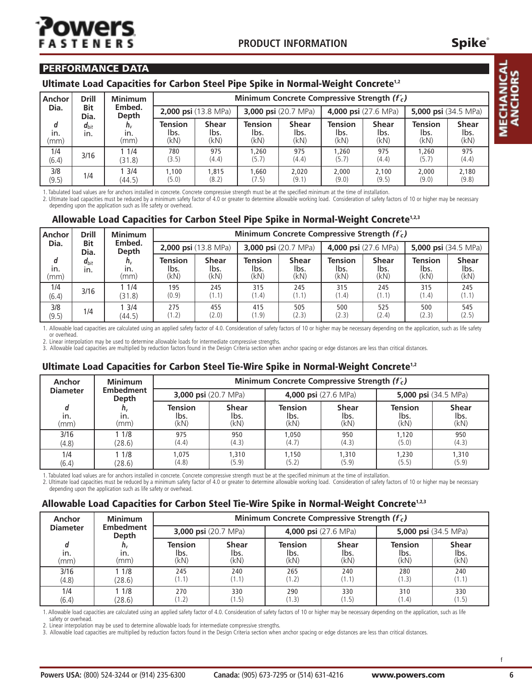#### **PERFORMANCE DATA**

#### **Ultimate Load Capacities for Carbon Steel Pipe Spike in Normal-Weight Concrete1,2**

| Anchor                     | <b>Drill</b>                       | <b>Minimum</b>         | Minimum Concrete Compressive Strength $(f'_c)$ |                              |                                |                              |                                       |                              |                                |                              |  |
|----------------------------|------------------------------------|------------------------|------------------------------------------------|------------------------------|--------------------------------|------------------------------|---------------------------------------|------------------------------|--------------------------------|------------------------------|--|
| Dia.<br><b>Bit</b><br>Dia. |                                    | Embed.<br><b>Depth</b> | <b>2,000 psi</b> $(13.8 \text{ MPa})$          |                              | 3,000 psi (20.7 MPa)           |                              | <b>4,000 psi</b> $(27.6 \text{ MPa})$ |                              | 5,000 psi (34.5 MPa)           |                              |  |
| d<br>in.<br>(mm)           | $d_{bit}$<br>$n_{v}$<br>in.<br>In. | (mm)                   | <b>Tension</b><br>lbs.<br>(kN)                 | <b>Shear</b><br>lbs.<br>(kN) | <b>Tension</b><br>lbs.<br>(kN) | <b>Shear</b><br>lbs.<br>(kN) | <b>Tension</b><br>lbs.<br>(kN)        | <b>Shear</b><br>lbs.<br>(kN) | <b>Tension</b><br>lbs.<br>(kN) | <b>Shear</b><br>lbs.<br>(kN) |  |
| 1/4<br>(6.4)               | 3/16                               | 11/4<br>(31.8)         | 780<br>(3.5)                                   | 975<br>(4.4)                 | 1.260<br>(5.7)                 | 975<br>(4.4)                 | 1.260<br>(5.7)                        | 975<br>(4.4)                 | 1.260<br>(5.7)                 | 975<br>(4.4)                 |  |
| 3/8<br>(9.5)               | 1/4                                | 13/4<br>(44.5)         | 1,100<br>(5.0)                                 | 1.815<br>(8.2)               | 1.660<br>(7.5)                 | 2.020<br>(9.1)               | 2.000<br>(9.0)                        | 2.100<br>(9.5)               | 2,000<br>(9.0)                 | 2.180<br>(9.8)               |  |

1. Tabulated load values are for anchors installed in concrete. Concrete compressive strength must be at the specified minimum at the time of installation.

2. Ultimate load capacities must be reduced by a minimum safety factor of 4.0 or greater to determine allowable working load. Consideration of safety factors of 10 or higher may be necessary depending upon the application such as life safety or overhead.

#### **,3 Allowable Load Capacities for Carbon Steel Pipe Spike in Normal-Weight Concrete1,2,3**

| Anchor           | <b>Drill</b>                                  | <b>Minimum</b>         |                                | Minimum Concrete Compressive Strength $(f'_c)$ |                                |                              |                                       |                              |                                |                              |  |  |
|------------------|-----------------------------------------------|------------------------|--------------------------------|------------------------------------------------|--------------------------------|------------------------------|---------------------------------------|------------------------------|--------------------------------|------------------------------|--|--|
|                  | Embed.<br>Dia.<br><b>Bit</b><br>Depth<br>Dia. |                        | 2,000 psi (13.8 MPa)           |                                                | 3,000 psi (20.7 MPa)           |                              | <b>4,000 psi</b> $(27.6 \text{ MPa})$ |                              | 5,000 psi $(34.5 \text{ MPa})$ |                              |  |  |
| d<br>in.<br>(mm) | $d_{bit}$<br>in.                              | $n_{v}$<br>in.<br>(mm) | <b>Tension</b><br>lbs.<br>(kN) | <b>Shear</b><br>lbs.<br>(kN)                   | <b>Tension</b><br>lbs.<br>(kN) | <b>Shear</b><br>lbs.<br>(kN) | <b>Tension</b><br>lbs.<br>(kN)        | <b>Shear</b><br>lbs.<br>(kN) | <b>Tension</b><br>lbs.<br>(kN) | <b>Shear</b><br>lbs.<br>(kN) |  |  |
| 1/4<br>(6.4)     | 3/16                                          | 1 1/4<br>(31.8)        | 195<br>(0.9)                   | 245<br>(1.1)                                   | 315<br>(1.4)                   | 245<br>(1.1)                 | 315<br>(1.4)                          | 245<br>(1.1)                 | 315<br>(1.4)                   | 245<br>(1.1)                 |  |  |
| 3/8<br>(9.5)     | 1/4                                           | 3/4<br>(44.5)          | 275<br>(1.2)                   | 455<br>(2.0)                                   | 415<br>(1.9)                   | 505<br>(2.3)                 | 500<br>(2.3)                          | 525<br>(2.4)                 | 500<br>(2.3)                   | 545<br>(2.5)                 |  |  |

1. Allowable load capacities are calculated using an applied safety factor of 4.0. Consideration of safety factors of 10 or higher may be necessary depending on the application, such as life safety or overhead.

2. Linear interpolation may be used to determine allowable loads for intermediate compressive strengths.

3. Allowable load capacities are multiplied by reduction factors found in the Design Criteria section when anchor spacing or edge distances are less than critical distances.

#### **Ultimate Load Capacities for Carbon Steel Tie-Wire Spike in Normal-Weight Concrete1,2**

| Anchor          | <b>Minimum</b>            | Minimum Concrete Compressive Strength $(f'_c)$ |                              |                                |                              |                                |                              |  |  |
|-----------------|---------------------------|------------------------------------------------|------------------------------|--------------------------------|------------------------------|--------------------------------|------------------------------|--|--|
| <b>Diameter</b> | <b>Embedment</b><br>Depth | <b>3,000 psi</b> $(20.7 \text{ MPa})$          |                              | 4,000 psi (27.6 MPa)           |                              | 5,000 psi $(34.5 \text{ MPa})$ |                              |  |  |
| in.<br>(mm)     | $n_{v}$<br>in.<br>(mm)    | <b>Tension</b><br>lbs.<br>(kN)                 | <b>Shear</b><br>lbs.<br>(kN) | <b>Tension</b><br>lbs.<br>(kN) | <b>Shear</b><br>lbs.<br>(kN) | <b>Tension</b><br>lbs.<br>(kN) | <b>Shear</b><br>lbs.<br>(kN) |  |  |
| 3/16<br>(4.8)   | 1 1/8<br>(28.6)           | 975<br>(4.4)                                   | 950<br>(4.3)                 | 1.050<br>(4.7)                 | 950<br>(4.3)                 | 1,120<br>(5.0)                 | 950<br>(4.3)                 |  |  |
| 1/4<br>(6.4)    | 11/8<br>(28.6)            | 1.075<br>(4.8)                                 | 1,310<br>(5.9)               | 1.150<br>(5.2)                 | 1,310<br>(5.9)               | 1.230<br>(5.5)                 | 1,310<br>(5.9)               |  |  |

1. Tabulated load values are for anchors installed in concrete. Concrete compressive strength must be at the specified minimum at the time of installation.

2. Ultimate load capacities must be reduced by a minimum safety factor of 4.0 or greater to determine allowable working load. Consideration of safety factors of 10 or higher may be necessary depending upon the application such as life safety or overhead.

#### **Allowable Load Capacities for Carbon Steel Tie-Wire Spike in Normal-Weight Concrete1,2,3**

| Anchor          | <b>Minimum</b>            | Minimum Concrete Compressive Strength $(f'_c)$ |                              |                                |                              |                                |                              |  |  |  |
|-----------------|---------------------------|------------------------------------------------|------------------------------|--------------------------------|------------------------------|--------------------------------|------------------------------|--|--|--|
| <b>Diameter</b> | <b>Embedment</b><br>Depth | <b>3,000 psi</b> $(20.7 \text{ MPa})$          |                              | 4,000 psi (27.6 MPa)           |                              | 5,000 psi $(34.5 \text{ MPa})$ |                              |  |  |  |
| in.<br>(mm)     | $n_{v}$<br>In.<br>(mm)    | <b>Tension</b><br>lbs.<br>(kN)                 | <b>Shear</b><br>lbs.<br>(kN) | <b>Tension</b><br>lbs.<br>(kN) | <b>Shear</b><br>lbs.<br>(kN) | <b>Tension</b><br>lbs.<br>(kN) | <b>Shear</b><br>lbs.<br>(kN) |  |  |  |
| 3/16<br>(4.8)   | 11/8<br>(28.6)            | 245<br>(1.1)                                   | 240<br>(1.1)                 | 265<br>(1.2)                   | 240<br>(1.1)                 | 280<br>(1.3)                   | 240<br>(1.1)                 |  |  |  |
| 1/4<br>(6.4)    | 11/8<br>(28.6)            | 270<br>(1.2)                                   | 330<br>(1.5)                 | 290<br>(1.3)                   | 330<br>(1.5)                 | 310<br>(1.4)                   | 330<br>(1.5)                 |  |  |  |

1. Allowable load capacities are calculated using an applied safety factor of 4.0. Consideration of safety factors of 10 or higher may be necessary depending on the application, such as life safety or overhead.

2. Linear interpolation may be used to determine allowable loads for intermediate compressive strengths.

3. Allowable load capacities are multiplied by reduction factors found in the Design Criteria section when anchor spacing or edge distances are less than critical distances.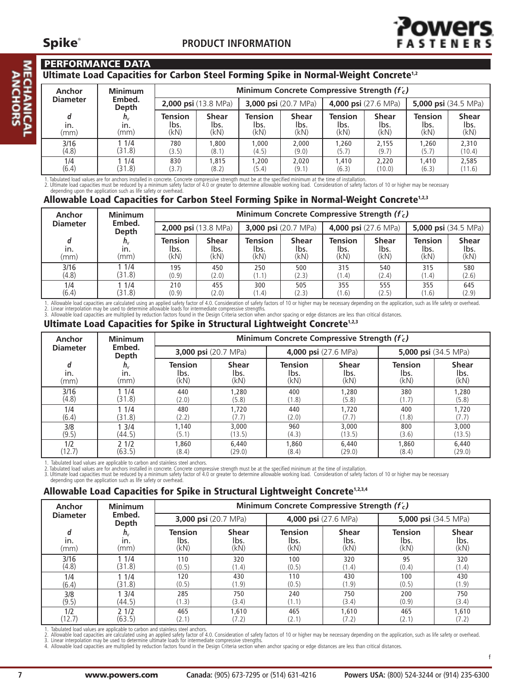#### **PERFORMANCE DATA**

#### **Ultimate Load Capacities for Carbon Steel Forming Spike in Normal-Weight Concrete1,2**

| Anchor          | <b>Minimum</b>         | Minimum Concrete Compressive Strength $(f'_c)$ |                              |                                |                              |                                       |                              |                                |                              |
|-----------------|------------------------|------------------------------------------------|------------------------------|--------------------------------|------------------------------|---------------------------------------|------------------------------|--------------------------------|------------------------------|
| <b>Diameter</b> | Embed.<br>Depth        | <b>2,000 psi</b> $(13.8 \text{ MPa})$          |                              | <b>3,000 psi</b> (20.7 MPa)    |                              | <b>4,000 psi</b> $(27.6 \text{ MPa})$ |                              | 5,000 psi $(34.5 \text{ MPa})$ |                              |
| in.<br>(mm)     | $n_{v}$<br>in.<br>(mm) | <b>Tension</b><br>lbs.<br>(kN)                 | <b>Shear</b><br>lbs.<br>(kN) | <b>Tension</b><br>lbs.<br>(kN) | <b>Shear</b><br>lbs.<br>(kN) | <b>Tension</b><br>lbs.<br>(kN)        | <b>Shear</b><br>lbs.<br>(kN) | <b>Tension</b><br>lbs.<br>(kN) | <b>Shear</b><br>lbs.<br>(kN) |
| 3/16<br>(4.8)   | 1/4<br>(31.8)          | 780<br>(3.5)                                   | 0.800<br>(8.1)               | 1.000<br>(4.5)                 | 2,000<br>(9.0)               | 1.260<br>(5.7)                        | 2.155<br>(9.7)               | 1.260<br>(5.7)                 | 2,310<br>(10.4)              |
| 1/4<br>(6.4)    | 1/4<br>(31.8)          | 830<br>(3.7)                                   | 1.815<br>(8.2)               | 1,200<br>(5.4)                 | 2.020<br>(9.1)               | 1,410<br>(6.3)                        | 2.220<br>(10.0)              | 1,410<br>(6.3)                 | 2,585<br>(11.6)              |

1. Tabulated load values are for anchors installed in concrete. Concrete compressive strength must be at the specified minimum at the time of installation.<br>2. Ultimate load capacities must be reduced by a minimum safety fa

#### **Allowable Load Capacities for Carbon Steel Forming Spike in Normal-Weight Concrete1,2,3**

| Anchor          | <b>Minimum</b>         | Minimum Concrete Compressive Strength $(f'_c)$ |                                       |                                |                              |                                |                              |                                |                                |  |
|-----------------|------------------------|------------------------------------------------|---------------------------------------|--------------------------------|------------------------------|--------------------------------|------------------------------|--------------------------------|--------------------------------|--|
| <b>Diameter</b> | Embed.<br>Depth        |                                                | <b>2,000 psi</b> $(13.8 \text{ MPa})$ |                                | <b>3,000 psi</b> (20.7 MPa)  |                                | 4,000 psi (27.6 MPa)         |                                | 5,000 psi $(34.5 \text{ MPa})$ |  |
| in.<br>(mm)     | $n_{v}$<br>In.<br>(mm) | <b>Tension</b><br>lbs.<br>(kN)                 | <b>Shear</b><br>lbs.<br>(kN)          | <b>Tension</b><br>lbs.<br>(kN) | <b>Shear</b><br>lbs.<br>(kN) | <b>Tension</b><br>lbs.<br>(kN) | <b>Shear</b><br>lbs.<br>(kN) | <b>Tension</b><br>lbs.<br>(kN) | <b>Shear</b><br>lbs.<br>(kN)   |  |
| 3/16<br>(4.8)   | 1/4<br>(31.8)          | 195<br>(0.9)                                   | 450<br>(2.0)                          | 250<br>(1.1)                   | 500<br>(2.3)                 | 315<br>(1.4)                   | 540<br>(2.4)                 | 315<br>(1.4)                   | 580<br>(2.6)                   |  |
| 1/4<br>(6.4)    | 1/4<br>(31.8)          | 210<br>(0.9)                                   | 455<br>(2.0)                          | 300<br>(1.4)                   | 505<br>(2.3)                 | 355<br>(1.6)                   | 555<br>(2.5)                 | 355<br>(1.6)                   | 645<br>(2.9)                   |  |

1. Allowable load capacities are calculated using an applied safety factor of 4.0. Consideration of safety factors of 10 or higher may be necessary depending on the application, such as life safety or overhead.<br>2. Linear i

#### **Ultimate Load Capacities for Spike in Structural Lightweight Concrete1,2,3**

| Anchor           | <b>Minimum</b>             |                                |                              | Minimum Concrete Compressive Strength $(f'_c)$ |                              |                                |                                                               |  |
|------------------|----------------------------|--------------------------------|------------------------------|------------------------------------------------|------------------------------|--------------------------------|---------------------------------------------------------------|--|
| <b>Diameter</b>  | Embed.<br>Depth            | 3,000 psi (20.7 MPa)           |                              |                                                | 4,000 psi (27.6 MPa)         | <b>5,000 psi</b> (34.5 MPa)    |                                                               |  |
| d<br>in.<br>(mm) | $n_{\rm v}$<br>in.<br>(mm) | <b>Tension</b><br>lbs.<br>(kN) | <b>Shear</b><br>lbs.<br>(kN) | <b>Tension</b><br>lbs.<br>(kN)                 | <b>Shear</b><br>lbs.<br>(kN) | <b>Tension</b><br>lbs.<br>(kN) | <b>Shear</b><br>$\begin{array}{c}$ lbs.<br>$(kN) \end{array}$ |  |
| 3/16             | 11/4                       | 440                            | 1,280                        | 400                                            | 1,280                        | 380                            | 1,280                                                         |  |
| (4.8)            | (31.8)                     | (2.0)                          | (5.8)                        | (1.8)                                          | (5.8)                        | (1.7)                          | (5.8)                                                         |  |
| 1/4              | 11/4                       | 480                            | 1,720                        | 440                                            | 1,720                        | 400                            | 1,720                                                         |  |
| (6.4)            | (31.8)                     | (2.2)                          | (7.7)                        | (2.0)                                          | (7.7)                        | (1.8)                          | (7.7)                                                         |  |
| 3/8              | 3/4                        | 1,140                          | 3,000                        | 960                                            | 3,000                        | 800                            | 3,000                                                         |  |
| (9.5)            | (44.5)                     | (5.1)                          | (13.5)                       | (4.3)                                          | (13.5)                       | (3.6)                          | (13.5)                                                        |  |
| 1/2              | 21/2                       | 1,860                          | 6,440                        | 1,860                                          | 6,440                        | 1,860                          | 6,440                                                         |  |
| (12.7)           | (63.5)                     | (8.4)                          | (29.0)                       | (8.4)                                          | (29.0)                       | (8.4)                          | (29.0)                                                        |  |

1. Tabulated load values are applicable to carbon and stainless steel anchors.<br>3. Ultimate load values are for anchors installed in concrete. Concrete compressive strength must be at the specified minimum at the time of in

#### **Allowable Load Capacities for Spike in Structural Lightweight Concrete1,2,3,4**

| <b>Anchor</b><br><b>Diameter</b> | <b>Minimum</b>  |                      |              | Minimum Concrete Compressive Strength $(f'_c)$ |              |                             |              |
|----------------------------------|-----------------|----------------------|--------------|------------------------------------------------|--------------|-----------------------------|--------------|
|                                  | Embed.<br>Depth | 3,000 psi (20.7 MPa) |              | 4,000 psi (27.6 MPa)                           |              | <b>5,000 psi</b> (34.5 MPa) |              |
| d                                | $n_{v}$         | Tension              | <b>Shear</b> | <b>Tension</b>                                 | <b>Shear</b> | <b>Tension</b>              | <b>Shear</b> |
| in.                              | in.             | lbs.                 | lbs.         | lbs.                                           | lbs.         | lbs.                        | lbs.         |
| (mm)                             | (mm)            | (kN)                 | (kN)         | (kN)                                           | (kN)         | (kN)                        | (KN)         |
| 3/16                             | 11/4            | 110                  | 320          | 100                                            | 320          | 95                          | 320          |
| (4.8)                            | (31.8)          | (0.5)                | (1.4)        | (0.5)                                          | (1.4)        | (0.4)                       | (1.4)        |
| 1/4                              | 11/4            | 120                  | 430          | 110                                            | 430          | 100                         | 430          |
| (6.4)                            | (31.8)          | (0.5)                | (1.9)        | (0.5)                                          | (1.9)        | (0.5)                       | (1.9)        |
| 3/8                              | 13/4            | 285                  | 750          | 240                                            | 750          | 200                         | 750          |
| (9.5)                            | (44.5)          | (1.3)                | (3.4)        | (1.1)                                          | (3.4)        | (0.9)                       | (3.4)        |
| 1/2                              | 21/2            | 465                  | 1.610        | 465                                            | 1.610        | 465                         | 1,610        |
| (12.7)                           | (63.5)          | (2.1)                | (7.2)        | (2.1)                                          | (7.2)        | (2.1)                       | (7.2)        |

1. Tabulated load values are applicable to carbon and stainless steel anchors.<br>2. Allowable load capacities are calculated using an applied safety factor of a. Consideration of safety factors of 10 or higher may be necessa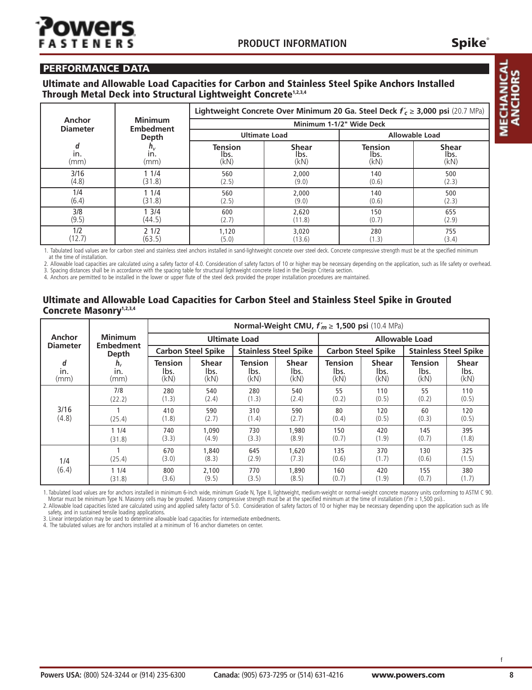## wer **STEN**

#### **PERFORMANCE DATA**

#### **Ultimate and Allowable Load Capacities for Carbon and Stainless Steel Spike Anchors Installed Through Metal Deck into Structural Lightweight Concrete1,2,3,4**

| Anchor          |                                    | Lightweight Concrete Over Minimum 20 Ga. Steel Deck $f'_c \ge 3,000$ psi (20.7 MPa) |                          |                       |              |  |  |  |  |
|-----------------|------------------------------------|-------------------------------------------------------------------------------------|--------------------------|-----------------------|--------------|--|--|--|--|
| <b>Diameter</b> | <b>Minimum</b><br><b>Embedment</b> |                                                                                     | Minimum 1-1/2" Wide Deck |                       |              |  |  |  |  |
|                 | Depth                              |                                                                                     | <b>Ultimate Load</b>     | <b>Allowable Load</b> |              |  |  |  |  |
| d               | $h_{\rm v}$                        | <b>Tension</b>                                                                      | <b>Shear</b>             | <b>Tension</b>        | <b>Shear</b> |  |  |  |  |
| in.             | in.                                | lbs.                                                                                | lbs.                     | lbs.                  | lbs.         |  |  |  |  |
| (mm)            | (mm)                               | (kN)                                                                                | (kN)                     | (kN)                  | (kN)         |  |  |  |  |
| 3/16            | 11/4                               | 560                                                                                 | 2,000                    | 140                   | 500          |  |  |  |  |
| (4.8)           | (31.8)                             | (2.5)                                                                               | (9.0)                    | (0.6)                 | (2.3)        |  |  |  |  |
| 1/4             | 11/4                               | 560                                                                                 | 2,000                    | 140                   | 500          |  |  |  |  |
| (6.4)           | (31.8)                             | (2.5)                                                                               | (9.0)                    | (0.6)                 | (2.3)        |  |  |  |  |
| 3/8             | 13/4                               | 600                                                                                 | 2,620                    | 150                   | 655          |  |  |  |  |
| (9.5)           | (44.5)                             | (2.7)                                                                               | (11.8)                   | (0.7)                 | (2.9)        |  |  |  |  |
| 1/2             | 21/2                               | 1,120                                                                               | 3,020                    | 280                   | 755          |  |  |  |  |
| (12.7)          | (63.5)                             | (5.0)                                                                               | (13.6)                   | (1.3)                 | (3.4)        |  |  |  |  |

1. Tabulated load values are for carbon steel and stainless steel anchors installed in sand-lightweight concrete over steel deck. Concrete compressive strength must be at the specified minimum at the time of installation.

2. Allowable load capacities are calculated using a safety factor of 4.0. Consideration of safety factors of 10 or higher may be necessary depending on the application, such as life safety or overhead. 3. Spacing distances shall be in accordance with the spacing table for structural lightweight concrete listed in the Design Criteria section.

4. Anchors are permitted to be installed in the lower or upper flute of the steel deck provided the proper installation procedures are maintained.

#### **Ultimate and Allowable Load Capacities for Carbon Steel and Stainless Steel Spike in Grouted Concrete Masonry1,2,3,4**

|                           |                                    |                           |                |                              |                | Normal-Weight CMU, $f'_m \ge 1,500$ psi (10.4 MPa) |              |                       |                              |
|---------------------------|------------------------------------|---------------------------|----------------|------------------------------|----------------|----------------------------------------------------|--------------|-----------------------|------------------------------|
| Anchor<br><b>Diameter</b> | <b>Minimum</b><br><b>Embedment</b> |                           |                | <b>Ultimate Load</b>         |                |                                                    |              | <b>Allowable Load</b> |                              |
|                           | Depth                              | <b>Carbon Steel Spike</b> |                | <b>Stainless Steel Spike</b> |                | <b>Carbon Steel Spike</b>                          |              |                       | <b>Stainless Steel Spike</b> |
| d                         | $h_{v}$                            | <b>Tension</b>            | <b>Shear</b>   | <b>Tension</b>               | <b>Shear</b>   | <b>Tension</b>                                     | <b>Shear</b> | <b>Tension</b>        | <b>Shear</b>                 |
| in.                       | in.                                | lbs.                      | lbs.           | lbs.                         | lbs.           | lbs.                                               | lbs.         | lbs.                  | lbs.                         |
| (mm)                      | (mm)                               | (kN)                      | (kN)           | (kN)                         | (kN)           | (kN)                                               | (kN)         | (kN)                  | (kN)                         |
|                           | 7/8                                | 280                       | 540            | 280                          | 540            | 55                                                 | 110          | 55                    | 110                          |
|                           | (22.2)                             | (1.3)                     | (2.4)          | (1.3)                        | (2.4)          | (0.2)                                              | (0.5)        | (0.2)                 | (0.5)                        |
| 3/16                      | (25.4)                             | 410                       | 590            | 310                          | 590            | 80                                                 | 120          | 60                    | 120                          |
| (4.8)                     |                                    | (1.8)                     | (2.7)          | (1.4)                        | (2.7)          | (0.4)                                              | (0.5)        | (0.3)                 | (0.5)                        |
|                           | 11/4                               | 740                       | 1,090          | 730                          | 1,980          | 150                                                | 420          | 145                   | 395                          |
|                           | (31.8)                             | (3.3)                     | (4.9)          | (3.3)                        | (8.9)          | (0.7)                                              | (1.9)        | (0.7)                 | (1.8)                        |
| 1/4                       | (25.4)                             | 670<br>(3.0)              | 1,840<br>(8.3) | 645<br>(2.9)                 | 1,620<br>(7.3) | 135<br>(0.6)                                       | 370<br>(1.7) | 130<br>(0.6)          | 325<br>(1.5)                 |
| (6.4)                     | 11/4                               | 800                       | 2,100          | 770                          | 1,890          | 160                                                | 420          | 155                   | 380                          |
|                           | (31.8)                             | (3.6)                     | (9.5)          | (3.5)                        | (8.5)          | (0.7)                                              | (1.9)        | (0.7)                 | (1.7)                        |

1. Tabulated load values are for anchors installed in minimum 6-inch wide, minimum Grade N, Type II, lightweight, medium-weight or normal-weight concrete masonry units conforming to ASTM C 90. Mortar must be minimum Type N. Masonry cells may be grouted. Masonry compressive strength must be at the specified minimum at the time of installation (fm ≥ 1,500 psi).

2. Allowable load capacities listed are calculated using and applied safety factor of 5.0. Consideration of safety factors of 10 or higher may be necessary depending upon the application such as life safety, and in sustained tensile loading applications.

3. Linear interpolation may be used to determine allowable load capacities for intermediate embedments. 4. The tabulated values are for anchors installed at <sup>a</sup> minimum of <sup>16</sup> anchor diameters on center.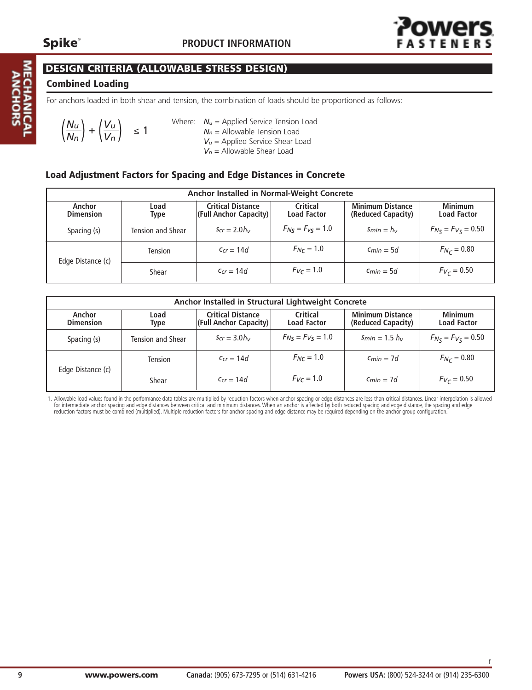**MECHANIC**<br>ANCHOR:



f

#### **DESIGN CRITERIA (ALLOWABLE STRESS DESIGN)**

#### **Combined Loading**

For anchors loaded in both shear and tension, the combination of loads should be proportioned as follows:

$$
\left(\frac{N_u}{N_n}\right) + \left(\frac{V_u}{V_n}\right) \le 1
$$

Where:  $N_u$  = Applied Service Tension Load *Nn* = Allowable Tension Load *Vu* = Applied Service Shear Load *Vn* = Allowable Shear Load

#### **Load Adjustment Factors for Spacing and Edge Distances in Concrete**

|                            | Anchor Installed in Normal-Weight Concrete |                                                    |                                |                                               |                                      |  |  |  |  |  |  |
|----------------------------|--------------------------------------------|----------------------------------------------------|--------------------------------|-----------------------------------------------|--------------------------------------|--|--|--|--|--|--|
| Anchor<br><b>Dimension</b> | Load<br><b>Type</b>                        | <b>Critical Distance</b><br>(Full Anchor Capacity) | Critical<br><b>Load Factor</b> | <b>Minimum Distance</b><br>(Reduced Capacity) | <b>Minimum</b><br><b>Load Factor</b> |  |  |  |  |  |  |
| Spacing (s)                | Tension and Shear                          | $S_{cr} = 2.0 h_v$                                 | $F_{N5} = F_{V5} = 1.0$        | $Smin = h_v$                                  | $F_{N_S} = F_{V_S} = 0.50$           |  |  |  |  |  |  |
| Edge Distance (c)          | <b>Tension</b>                             | $C_{cr} = 14d$                                     | $F_{Nc} = 1.0$                 | $C_{min} = 5d$                                | $F_{N_C} = 0.80$                     |  |  |  |  |  |  |
|                            | Shear                                      | $C_{cr} = 14d$                                     | $F_{Vc} = 1.0$                 | $C_{min} = 5d$                                | $F_{V_C} = 0.50$                     |  |  |  |  |  |  |

|                                         |                     | Anchor Installed in Structural Lightweight Concrete |                                |                                               |                                      |
|-----------------------------------------|---------------------|-----------------------------------------------------|--------------------------------|-----------------------------------------------|--------------------------------------|
| Anchor<br><b>Dimension</b>              | Load<br><b>Type</b> | <b>Critical Distance</b><br>(Full Anchor Capacity)  | Critical<br><b>Load Factor</b> | <b>Minimum Distance</b><br>(Reduced Capacity) | <b>Minimum</b><br><b>Load Factor</b> |
| Spacing (s)<br><b>Tension and Shear</b> |                     | $S_{cr} = 3.0 h_v$                                  | $F_{N5} = F_{V5} = 1.0$        | $Smin = 1.5 h_v$                              | $F_{N_S} = F_{V_S} = 0.50$           |
| Edge Distance (c)                       | <b>Tension</b>      | $C_{cr} = 14d$                                      | $F_{N_c} = 1.0$                | $C_{min} = 7d$                                | $F_{N_C} = 0.80$                     |
|                                         | Shear               | $C_{cr} = 14d$                                      | $F_V = 1.0$                    | $C_{min} = 7d$                                | $F_{V_C} = 0.50$                     |

1. Allowable load values found in the performance data tables are multiplied by reduction factors when anchor spacing or edge distances are less than critical distances. Linear interpolation is allowed for intermediate anchor spacing and edge distances between critical and minimum distances. When an anchor is affected by both reduced spacing and edge distance, the spacing and edge reduction factors must be combined (multiplied). Multiple reduction factors for anchor spacing and edge distance may be required depending on the anchor group configuration.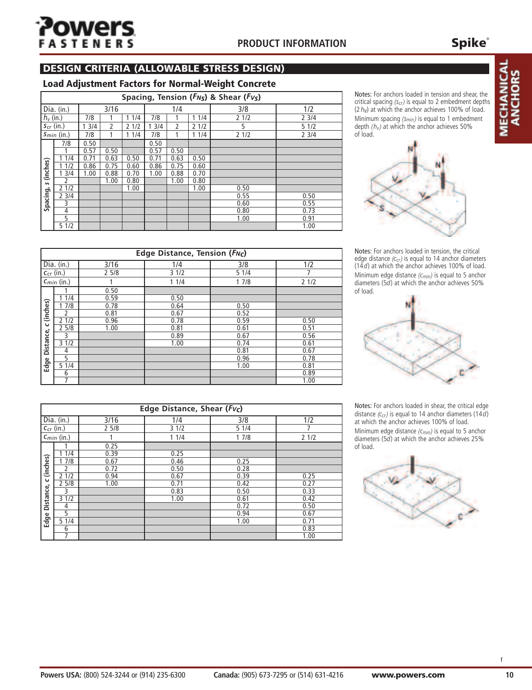## wers **STENERS**

#### **PRODUCT INFORMATION**

#### **DESIGN CRITERIA (ALLOWABLE STRESS DESIGN)**

#### **Load Adjustment Factors for Normal-Weight Concrete**

|                 |                |      |      |      |      |      |      | Spacing, Tension (F <sub>NS</sub> ) & Shear (F <sub>VS</sub> ) |      |
|-----------------|----------------|------|------|------|------|------|------|----------------------------------------------------------------|------|
|                 | Dia. (in.)     |      | 3/16 |      |      | 1/4  |      | 3/8                                                            | 1/2  |
| $h_v$ (in.)     |                | 7/8  |      | 11/4 | 7/8  | 11/4 |      | 21/2                                                           | 23/4 |
|                 | $S_{cr}$ (in.) | 13/4 | 2    | 21/2 | 13/4 | 2    | 21/2 | 5                                                              | 51/2 |
| $S_{min}$ (in.) |                | 7/8  | 1    | 11/4 | 7/8  |      | 11/4 | 21/2                                                           | 23/4 |
|                 | 7/8            | 0.50 |      |      | 0.50 |      |      |                                                                |      |
|                 |                | 0.57 | 0.50 |      | 0.57 | 0.50 |      |                                                                |      |
|                 | 1/4            | 0.71 | 0.63 | 0.50 | 0.71 | 0.63 | 0.50 |                                                                |      |
|                 | 1/2            | 0.86 | 0.75 | 0.60 | 0.86 | 0.75 | 0.60 |                                                                |      |
| (inches)        | 13/4           | 1.00 | 0.88 | 0.70 | 1.00 | 0.88 | 0.70 |                                                                |      |
| S               | 2              |      | 1.00 | 0.80 |      | 1.00 | 0.80 |                                                                |      |
|                 | 21/2           |      |      | 1.00 |      |      | 1.00 | 0.50                                                           |      |
| Spacing,        | 23/4           |      |      |      |      |      |      | 0.55                                                           | 0.50 |
|                 | 3              |      |      |      |      |      |      | 0.60                                                           | 0.55 |
|                 | 4              |      |      |      |      |      |      | 0.80                                                           | 0.73 |
|                 | 5              |      |      |      |      |      |      | 1.00                                                           | 0.91 |
|                 | 51/2           |      |      |      |      |      |      |                                                                | 1.00 |

Notes: For anchors loaded in tension and shear, the critical spacing *(scr)* is equal to 2 embedment depths (2 *hv*) at which the anchor achieves 100% of load. Minimum spacing *(smin)* is equal to 1 embedment depth  $(h_v)$  at which the anchor achieves 50% of load.



Notes: For anchors loaded in tension, the critical edge distance *(ccr)* is equal to 14 anchor diameters (14*d*) at which the anchor achieves 100% of load. Minimum edge distance *(cmin)* is equal to 5 anchor diameters (5*d*) at which the anchor achieves 50% of load.



Notes: For anchors loaded in shear, the critical edge distance *(ccr)* is equal to 14 anchor diameters (14*d*) at which the anchor achieves 100% of load. Minimum edge distance *(cmin)* is equal to 5 anchor diameters (5*d*) at which the anchor achieves 25% of load.



|                  |                         |      | Edge Distance, Tension $(F_{NC})$ |      |      |
|------------------|-------------------------|------|-----------------------------------|------|------|
|                  | $\overline{Dia.}$ (in.) | 3/16 | 1/4                               | 3/8  | 1/2  |
|                  | $C_{cr}$ (in.)          | 25/8 | 31/2                              | 51/4 |      |
| $C_{min}$ (in.)  |                         |      | 11/4                              | 17/8 | 21/2 |
|                  |                         | 0.50 |                                   |      |      |
|                  | 11/4                    | 0.59 | 0.50                              |      |      |
| (inches)         | 17/8                    | 0.78 | 0.64                              | 0.50 |      |
|                  | 2                       | 0.81 | 0.67                              | 0.52 |      |
|                  | 21/2                    | 0.96 | 0.78                              | 0.59 | 0.50 |
| $\mathbf \omega$ | 25/8                    | 1.00 | 0.81                              | 0.61 | 0.51 |
| Distance,        | 3                       |      | 0.89                              | 0.67 | 0.56 |
|                  | 31/2                    |      | 1.00                              | 0.74 | 0.61 |
|                  | 4                       |      |                                   | 0.81 | 0.67 |
|                  | 5                       |      |                                   | 0.96 | 0.78 |
| Edge             | 51/4                    |      |                                   | 1.00 | 0.81 |
|                  | 6                       |      |                                   |      | 0.89 |
|                  | 7                       |      |                                   |      | 1.00 |

|           | Edge Distance, Shear (Fvc) |      |            |      |      |  |  |  |  |  |
|-----------|----------------------------|------|------------|------|------|--|--|--|--|--|
|           | $Dia.$ (in.)               | 3/16 | 1/4<br>3/8 |      | 1/2  |  |  |  |  |  |
|           | $c_{cr}$ (in.)             | 25/8 | 31/2       | 51/4 |      |  |  |  |  |  |
|           | $C_{min}$ (in.)            |      | 11/4       | 17/8 | 21/2 |  |  |  |  |  |
|           |                            | 0.25 |            |      |      |  |  |  |  |  |
|           | 1/4                        | 0.39 | 0.25       |      |      |  |  |  |  |  |
|           | 17/8                       | 0.67 | 0.46       | 0.25 |      |  |  |  |  |  |
| (inches)  | $\mathcal{P}$              | 0.72 | 0.50       | 0.28 |      |  |  |  |  |  |
|           | 21/2                       | 0.94 | 0.67       | 0.39 | 0.25 |  |  |  |  |  |
| ں         | 25/8                       | 1.00 | 0.71       | 0.42 | 0.27 |  |  |  |  |  |
|           | 3                          |      | 0.83       | 0.50 | 0.33 |  |  |  |  |  |
| Distance, | 31/2                       |      | 1.00       | 0.61 | 0.42 |  |  |  |  |  |
|           | 4                          |      |            | 0.72 | 0.50 |  |  |  |  |  |
|           | 5                          |      |            | 0.94 | 0.67 |  |  |  |  |  |
| Edge      | 51/4                       |      |            | 1.00 | 0.71 |  |  |  |  |  |
|           | 6                          |      |            |      | 0.83 |  |  |  |  |  |
|           |                            |      |            |      | 1.00 |  |  |  |  |  |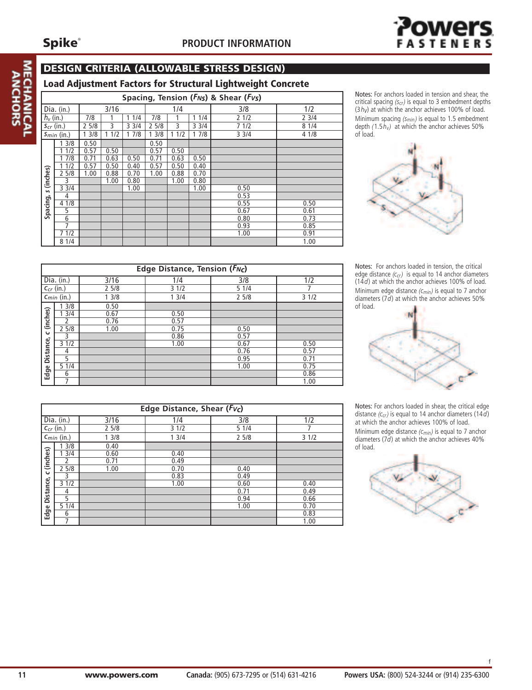**MEC** 



#### **DESIGN CRITERIA (ALLOWABLE STRESS DESIGN)**

|                                                                 | Load Adjustment Factors for Structural Lightweight Concrete |      |             |      |             |      |       |                                                    |      |  |
|-----------------------------------------------------------------|-------------------------------------------------------------|------|-------------|------|-------------|------|-------|----------------------------------------------------|------|--|
|                                                                 |                                                             |      |             |      |             |      |       | Spacing, Tension ( $F_{NS}$ ) & Shear ( $F_{VS}$ ) |      |  |
|                                                                 | Dia. (in.)                                                  |      | 3/16<br>1/4 |      |             |      | 3/8   | 1/2                                                |      |  |
| $h_v$ (in.)                                                     |                                                             | 7/8  |             | 11/4 | 7/8<br>11/4 |      |       | 21/2                                               | 23/4 |  |
| $S_{cr}$ (in.)                                                  |                                                             | 25/8 | 3           | 33/4 | 25/8        | 3    | 3 3/4 | 71/2                                               | 81/4 |  |
| 17/8<br>13/8<br>13/8<br>11/2<br>11/2<br>17/8<br>$S_{min}$ (in.) |                                                             | 33/4 | 4 1/8       |      |             |      |       |                                                    |      |  |
|                                                                 | 3/8                                                         | 0.50 |             |      | 0.50        |      |       |                                                    |      |  |
|                                                                 | 11/2                                                        | 0.57 | 0.50        |      | 0.57        | 0.50 |       |                                                    |      |  |
|                                                                 | 7/8                                                         | 0.71 | 0.63        | 0.50 | 0.71        | 0.63 | 0.50  |                                                    |      |  |
|                                                                 | 1/2                                                         | 0.57 | 0.50        | 0.40 | 0.57        | 0.50 | 0.40  |                                                    |      |  |
| (inches)                                                        | 25/8                                                        | 1.00 | 0.88        | 0.70 | 1.00        | 0.88 | 0.70  |                                                    |      |  |
|                                                                 | 3                                                           |      | 1.00        | 0.80 |             | 1.00 | 0.80  |                                                    |      |  |
| $\mathbf{v}$                                                    | 33/4                                                        |      |             | 1.00 |             |      | 1.00  | 0.50                                               |      |  |
|                                                                 | 4                                                           |      |             |      |             |      |       | 0.53                                               |      |  |
|                                                                 | 4 1/8                                                       |      |             |      |             |      |       | 0.55                                               | 0.50 |  |
| Spacing,                                                        | 5                                                           |      |             |      |             |      |       | 0.67                                               | 0.61 |  |
|                                                                 | 6                                                           |      |             |      |             |      |       | 0.80                                               | 0.73 |  |
|                                                                 | 7                                                           |      |             |      |             |      |       | 0.93                                               | 0.85 |  |
|                                                                 | 7 1/2                                                       |      |             |      |             |      |       | 1.00                                               | 0.91 |  |
|                                                                 | 8 1/4                                                       |      |             |      |             |      |       |                                                    | 1.00 |  |

Notes: For anchors loaded in tension and shear, the critical spacing *(scr)* is equal to 3 embedment depths  $(3h_V)$  at which the anchor achieves 100% of load. Minimum spacing *(smin)* is equal to 1.5 embedment depth  $(1.5h_v)$  at which the anchor achieves 50% of load.



Notes: For anchors loaded in tension, the critical edge distance *(c<sub>cr</sub>)* is equal to 14 anchor diameters (14*d*) at which the anchor achieves 100% of load. Minimum edge distance *(cmin)* is equal to 7 anchor diameters (7*d*) at which the anchor achieves 50% of load.



Notes: For anchors loaded in shear, the critical edge distance *(ccr)* is equal to 14 anchor diameters (14*d*) at which the anchor achieves 100% of load. Minimum edge distance *(cmin)* is equal to 7 anchor diameters (7*d*) at which the anchor achieves 40% of load.



|                  | Edge Distance, Tension (FNc) |      |      |      |      |                    |  |  |  |  |  |
|------------------|------------------------------|------|------|------|------|--------------------|--|--|--|--|--|
|                  | Dia. (in.)                   | 3/16 | 1/4  | 3/8  | 1/2  | edge di<br>(14d) a |  |  |  |  |  |
|                  | $C_{cr}$ (in.)               | 25/8 | 31/2 | 51/4 |      | Minimu             |  |  |  |  |  |
|                  | $C_{min}$ (in.)              | 13/8 | 13/4 | 25/8 | 31/2 | diamete            |  |  |  |  |  |
|                  | 3/8                          | 0.50 |      |      |      | of load.           |  |  |  |  |  |
| (inches)         | 3/4                          | 0.67 | 0.50 |      |      |                    |  |  |  |  |  |
|                  |                              | 0.76 | 0.57 |      |      |                    |  |  |  |  |  |
|                  | 25/8                         | 1.00 | 0.75 | 0.50 |      |                    |  |  |  |  |  |
| $\mathbf \omega$ | 3                            |      | 0.86 | 0.57 |      |                    |  |  |  |  |  |
| Distance,        | 31/2                         |      | 1.00 | 0.67 | 0.50 |                    |  |  |  |  |  |
|                  | 4                            |      |      | 0.76 | 0.57 |                    |  |  |  |  |  |
|                  | 5                            |      |      | 0.95 | 0.71 |                    |  |  |  |  |  |
|                  | 51/4                         |      |      | 1.00 | 0.75 |                    |  |  |  |  |  |
| Edge             | 6                            |      |      |      | 0.86 |                    |  |  |  |  |  |
|                  |                              |      |      |      | 1.00 |                    |  |  |  |  |  |

|                  | Edge Distance, Shear (Fvc) |      |      |      |      |  |  |  |  |  |  |
|------------------|----------------------------|------|------|------|------|--|--|--|--|--|--|
|                  | $\overline{Dia.}$ (in.)    | 3/16 | 1/4  | 3/8  | 1/2  |  |  |  |  |  |  |
|                  | $c_{cr}$ (in.)             | 25/8 | 31/2 | 51/4 |      |  |  |  |  |  |  |
|                  | $C_{min}$ (in.)            | 13/8 | 13/4 | 25/8 | 31/2 |  |  |  |  |  |  |
|                  | 3/8                        | 0.40 |      |      |      |  |  |  |  |  |  |
| (inches)         | $\overline{3/4}$           | 0.60 | 0.40 |      |      |  |  |  |  |  |  |
|                  | <sup>2</sup>               | 0.71 | 0.49 |      |      |  |  |  |  |  |  |
|                  | 25/8                       | 1.00 | 0.70 | 0.40 |      |  |  |  |  |  |  |
| $\mathbf \omega$ | 3                          |      | 0.83 | 0.49 |      |  |  |  |  |  |  |
| Distance,        | 31/2                       |      | 1.00 | 0.60 | 0.40 |  |  |  |  |  |  |
|                  | 4                          |      |      | 0.71 | 0.49 |  |  |  |  |  |  |
|                  | 5                          |      |      | 0.94 | 0.66 |  |  |  |  |  |  |
|                  | 51/4                       |      |      | 1.00 | 0.70 |  |  |  |  |  |  |
| Edge             | 6                          |      |      |      | 0.83 |  |  |  |  |  |  |
|                  | 7                          |      |      |      | 1.00 |  |  |  |  |  |  |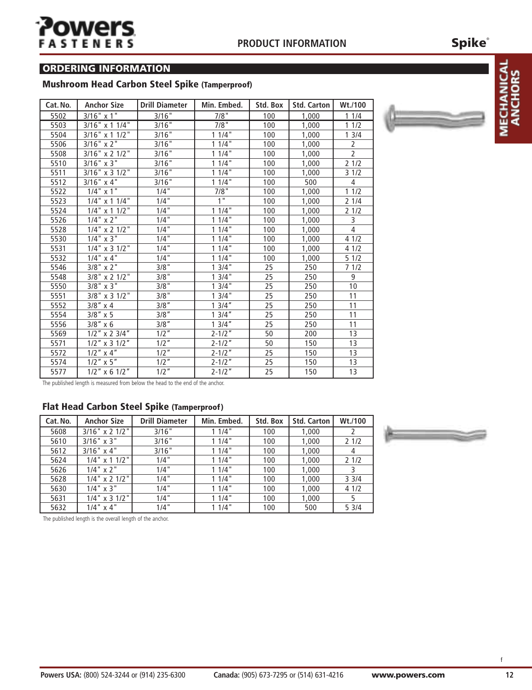## **Spike**®

#### **ORDERING INFORMATION**

#### **Mushroom Head Carbon Steel Spike (Tamperproof)**

| Cat. No. | <b>Anchor Size</b>     | <b>Drill Diameter</b> | Min. Embed. | Std. Box | <b>Std. Carton</b> | Wt./100        |
|----------|------------------------|-----------------------|-------------|----------|--------------------|----------------|
| 5502     | $3/16"$ x 1"           | 3/16"                 | 7/8"        | 100      | 1,000              | 11/4           |
| 5503     | $3/16$ " x 1 1/4"      | 3/16"                 | $7/8$ "     | 100      | 1,000              | 11/2           |
| 5504     | $3/16"$ x 1 1/2"       | 3/16"                 | 11/4"       | 100      | 1,000              | 13/4           |
| 5506     | $3/16"$ x 2"           | 3/16"                 | 11/4        | 100      | 1,000              | $\overline{2}$ |
| 5508     | 3/16" x 2 1/2"         | 3/16                  | 11/4        | 100      | 1,000              | $\overline{2}$ |
| 5510     | $3/16"$ x 3"           | 3/16"                 | 11/4"       | 100      | 1,000              | 21/2           |
| 5511     | 3/16" x 3 1/2"         | 3/16"                 | 11/4"       | 100      | 1,000              | 31/2           |
| 5512     | $3/16"$ x 4"           | 3/16"                 | 11/4"       | 100      | 500                | 4              |
| 5522     | $1/4$ " x 1"           | 1/4"                  | 7/8"        | 100      | 1,000              | 11/2           |
| 5523     | $1/4$ " x 1 $1/4$ "    | $1/4$ "               | 1"          | 100      | 1,000              | 21/4           |
| 5524     | $1/4$ " x 1 $1/2$ "    | 1/4"                  | 11/4"       | 100      | 1,000              | 21/2           |
| 5526     | $1/4$ " x 2"           | 1/4"                  | 11/4"       | 100      | 1,000              | 3              |
| 5528     | $1/4$ " x 2 $1/2$ "    | 1/4"                  | 11/4        | 100      | 1,000              | $\overline{4}$ |
| 5530     | $1/4$ " x 3"           | 1/4"                  | 11/4"       | 100      | 1,000              | 41/2           |
| 5531     | $1/4$ " x 3 $1/2$ "    | $1/4$ "               | 11/4"       | 100      | 1,000              | 41/2           |
| 5532     | $\overline{1/4}$ x 4"  | $1/4$ "               | 11/4        | 100      | 1,000              | 51/2           |
| 5546     | $3/8$ " x 2"           | 3/8"                  | 13/4"       | 25       | 250                | 71/2           |
| 5548     | 3/8" x 2 1/2"          | 3/8"                  | 13/4"       | 25       | 250                | 9              |
| 5550     | $3/8$ " x $3$ "        | 3/8"                  | 13/4"       | 25       | 250                | 10             |
| 5551     | $3/8$ " x 3 1/2"       | 3/8"                  | 13/4"       | 25       | 250                | 11             |
| 5552     | $3/8$ " x 4            | $3/8$ "               | 13/4"       | 25       | 250                | 11             |
| 5554     | $3/8$ " x 5            | $3/8$ "               | 13/4''      | 25       | 250                | 11             |
| 5556     | $\overline{3}/8''$ x 6 | $3/8$ "               | 13/4"       | 25       | 250                | 11             |
| 5569     | $1/2$ " x 2 3/4"       | $1/2$ "               | $2 - 1/2"$  | 50       | 200                | 13             |
| 5571     | $1/2$ " x 3 $1/2$ "    | $1/2$ <sup>"</sup>    | $2 - 1/2"$  | 50       | 150                | 13             |
| 5572     | $1/2$ " x 4"           | $1/2$ "               | $2 - 1/2"$  | 25       | 150                | 13             |
| 5574     | $1/2$ " x 5"           | $1/2$ "               | $2 - 1/2"$  | 25       | 150                | 13             |
| 5577     | $1/2$ " x 6 $1/2$ "    | $1/2$ "               | $2 - 1/2"$  | 25       | 150                | 13             |

The published length is measured from below the head to the end of the anchor.

#### **Flat Head Carbon Steel Spike (Tamperproof)**

| Cat. No. | <b>Anchor Size</b>  | <b>Drill Diameter</b> | Min. Embed. | Std. Box | <b>Std. Carton</b> | Wt./100 |
|----------|---------------------|-----------------------|-------------|----------|--------------------|---------|
| 5608     | 3/16" x 2 1/2"      | 3/16"                 | 11/4"       | 100      | 1,000              |         |
| 5610     | $3/16" \times 3"$   | 3/16"                 | 11/4"       | 100      | 1,000              | 21/2    |
| 5612     | $3/16" \times 4"$   | 3/16"                 | 11/4"       | 100      | 1,000              | 4       |
| 5624     | $1/4$ " x 1 $1/2$ " | 1/4"                  | 11/4"       | 100      | 1,000              | 21/2    |
| 5626     | $1/4$ " $\times$ 2" | 1/4"                  | 11/4"       | 100      | 1,000              |         |
| 5628     | $1/4$ " x 2 $1/2$ " | 1/4"                  | 11/4"       | 100      | 1,000              | 33/4    |
| 5630     | $1/4$ " $\times$ 3" | 1/4"                  | 11/4"       | 100      | 1,000              | 41/2    |
| 5631     | $1/4$ " x 3 $1/2$ " | 1/4"                  | 11/4"       | 100      | 1,000              |         |
| 5632     | $1/4$ " $\times$ 4" | $1/4$ "               | 11/4"       | 100      | 500                | 53/4    |

The published length is the overall length of the anchor.

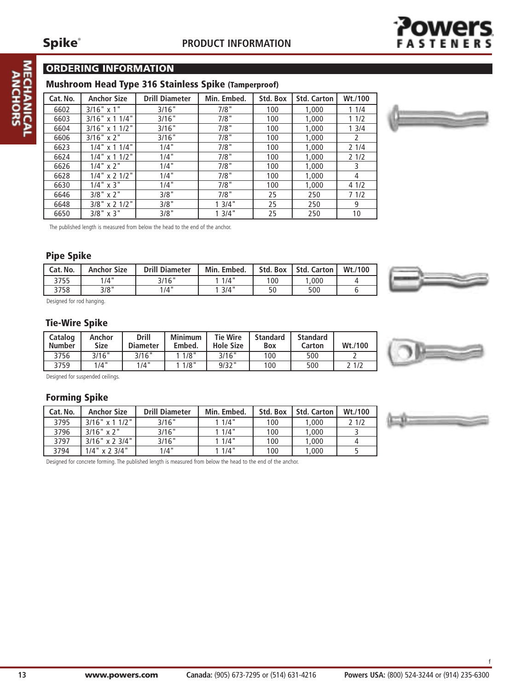### **ORDERING INFORMATION**

#### **Mushroom Head Type 316 Stainless Spike (Tamperproof)**

| Cat. No. | <b>Anchor Size</b>  | <b>Drill Diameter</b> | Min. Embed. | Std. Box | <b>Std. Carton</b> | Wt./100 |
|----------|---------------------|-----------------------|-------------|----------|--------------------|---------|
| 6602     | $3/16" \times 1"$   | 3/16"                 | 7/8"        | 100      | 1,000              | 11/4    |
| 6603     | $3/16"$ x 1 1/4"    | 3/16"                 | 7/8"        | 100      | 1,000              | 11/2    |
| 6604     | $3/16$ " x 1 1/2"   | 3/16"                 | 7/8"        | 100      | 1,000              | 13/4    |
| 6606     | $3/16"$ x 2"        | 3/16"                 | 7/8"        | 100      | 1,000              | 2       |
| 6623     | $1/4$ " x 1 $1/4$ " | 1/4"                  | 7/8"        | 100      | 1,000              | 21/4    |
| 6624     | $1/4$ " x 1 $1/2$ " | 1/4"                  | 7/8"        | 100      | 1,000              | 21/2    |
| 6626     | $1/4$ " $\times$ 2" | 1/4"                  | 7/8"        | 100      | 1,000              | 3       |
| 6628     | $1/4$ " x 2 $1/2$ " | 1/4"                  | 7/8"        | 100      | 1,000              | 4       |
| 6630     | $1/4$ " $\times$ 3" | 1/4"                  | 7/8"        | 100      | 1,000              | 41/2    |
| 6646     | $3/8$ " x 2"        | 3/8"                  | 7/8"        | 25       | 250                | 7 1/2   |
| 6648     | $3/8$ " x 2 1/2"    | 3/8"                  | 13/4"       | 25       | 250                | 9       |
| 6650     | $3/8$ " $\times$ 3" | 3/8"                  | 13/4"       | 25       | 250                | 10      |



The published length is measured from below the head to the end of the anchor.

#### **Pipe Spike**

| Cat. No. | <b>Anchor Size</b> | <b>Drill Diameter</b> | Min. Embed. | Std. Box | Std. Carton L | Wt./100 |
|----------|--------------------|-----------------------|-------------|----------|---------------|---------|
| 3755     | 1/4"               | 3/16"                 | 1/4"        | 100      | 1,000         |         |
| 3758     | 3/8"               | 1/4"                  | 13/4"       | 50       | 500           |         |

Designed for rod hanging.

#### **Tie-Wire Spike**

| Catalog<br><b>Number</b> | Anchor<br><b>Size</b> | <b>Drill</b><br><b>Diameter</b> | <b>Minimum</b><br>Embed. | <b>Tie Wire</b><br><b>Hole Size</b> | <b>Standard</b><br><b>Box</b> | <b>Standard</b><br>Carton | Wt./100 |
|--------------------------|-----------------------|---------------------------------|--------------------------|-------------------------------------|-------------------------------|---------------------------|---------|
| 3756                     | 3/16"                 | 3/16"                           | 1/8"                     | 3/16"                               | 100                           | 500                       |         |
| 3759                     | 1/4"                  | 1/4"                            | 1/8"                     | $9/32$ "                            | 100                           | 500                       | 2 1/2   |

Designed for suspended ceilings.

#### **Forming Spike**

| Cat. No. | <b>Anchor Size</b> | <b>Drill Diameter</b> | Min. Embed. | Std. Box | <b>Std. Carton</b> | Wt./100 |
|----------|--------------------|-----------------------|-------------|----------|--------------------|---------|
| 3795     | $3/16$ " x 1 1/2"  | 3/16"                 | 11/4"       | 100      | 1,000              | 2 1/2   |
| 3796     | $3/16" \times 2"$  | 3/16"                 | 11/4"       | 100      | 1,000              |         |
| 3797     | $3/16"$ x 2 3/4"   | 3/16"                 | 11/4"       | 100      | 1,000              |         |
| 3794     | $1/4$ " x 2 3/4"   | 1/4"                  | 11/4"       | 100      | 1,000              |         |

f

Designed for concrete forming. The published length is measured from below the head to the end of the anchor.